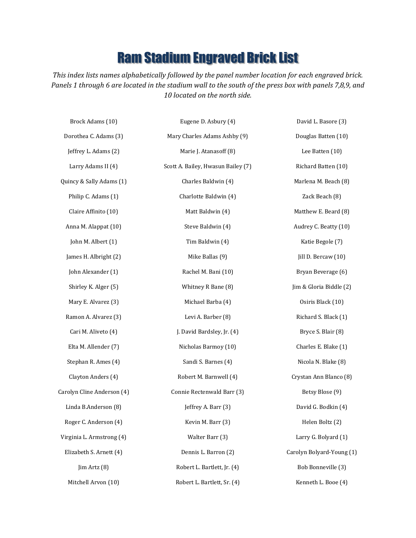## Ram Stadium Engraved Brick List

*This index lists names alphabetically followed by the panel number location for each engraved brick. Panels 1 through 6 are located in the stadium wall to the south of the press box with panels 7,8,9, and 10 located on the north side.*

| Brock Adams (10)           | Eugene D. Asbury (4)               | David L. Basore (3)       |
|----------------------------|------------------------------------|---------------------------|
| Dorothea C. Adams (3)      | Mary Charles Adams Ashby (9)       | Douglas Batten (10)       |
| Jeffrey L. Adams (2)       | Marie J. Atanasoff (8)             | Lee Batten (10)           |
| Larry Adams II (4)         | Scott A. Bailey, Hwasun Bailey (7) | Richard Batten (10)       |
| Quincy & Sally Adams (1)   | Charles Baldwin (4)                | Marlena M. Beach (8)      |
| Philip C. Adams (1)        | Charlotte Baldwin (4)              | Zack Beach (8)            |
| Claire Affinito (10)       | Matt Baldwin (4)                   | Matthew E. Beard (8)      |
| Anna M. Alappat (10)       | Steve Baldwin (4)                  | Audrey C. Beatty (10)     |
| John M. Albert (1)         | Tim Baldwin (4)                    | Katie Begole (7)          |
| James H. Albright (2)      | Mike Ballas (9)                    | Jill D. Bercaw (10)       |
| John Alexander (1)         | Rachel M. Bani (10)                | Bryan Beverage (6)        |
| Shirley K. Alger (5)       | Whitney R Bane (8)                 | Jim & Gloria Biddle (2)   |
| Mary E. Alvarez (3)        | Michael Barba (4)                  | Osiris Black (10)         |
| Ramon A. Alvarez (3)       | Levi A. Barber (8)                 | Richard S. Black (1)      |
| Cari M. Aliveto (4)        | J. David Bardsley, Jr. (4)         | Bryce S. Blair (8)        |
| Elta M. Allender (7)       | Nicholas Barmoy (10)               | Charles E. Blake (1)      |
| Stephan R. Ames (4)        | Sandi S. Barnes (4)                | Nicola N. Blake (8)       |
| Clayton Anders (4)         | Robert M. Barnwell (4)             | Crystan Ann Blanco (8)    |
| Carolyn Cline Anderson (4) | Connie Rectenwald Barr (3)         | Betsy Blose (9)           |
| Linda B.Anderson (8)       | Jeffrey A. Barr (3)                | David G. Bodkin (4)       |
| Roger C. Anderson (4)      | Kevin M. Barr (3)                  | Helen Boltz (2)           |
| Virginia L. Armstrong (4)  | Walter Barr (3)                    | Larry G. Bolyard (1)      |
| Elizabeth S. Arnett (4)    | Dennis L. Barron (2)               | Carolyn Bolyard-Young (1) |
| Jim Artz (8)               | Robert L. Bartlett, Jr. (4)        | Bob Bonneville (3)        |
| Mitchell Arvon (10)        | Robert L. Bartlett, Sr. (4)        | Kenneth L. Booe (4)       |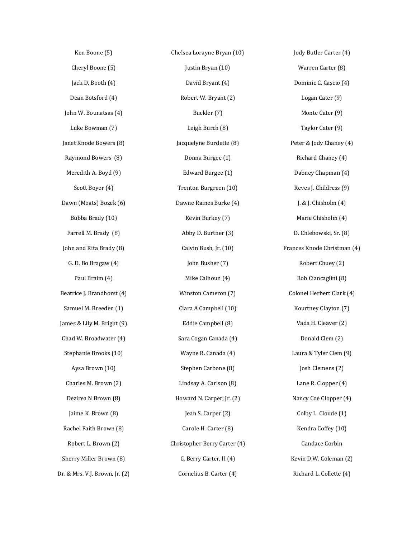Ken Boone (5) Cheryl Boone (5) Jack D. Booth (4) Dean Botsford (4) John W. Bounatsas (4) Luke Bowman (7) Janet Knode Bowers (8) Raymond Bowers (8) Meredith A. Boyd (9) Scott Boyer (4) Dawn (Moats) Bozek (6) Bubba Brady (10) Farrell M. Brady (8) John and Rita Brady (8) G. D. Bo Bragaw (4) Paul Braim (4) Beatrice J. Brandhorst (4) Samuel M. Breeden (1) James & Lily M. Bright (9) Chad W. Broadwater (4) Stephanie Brooks (10) Aysa Brown (10) Charles M. Brown (2) Dezirea N Brown (8) Jaime K. Brown (8) Rachel Faith Brown (8) Robert L. Brown (2) Sherry Miller Brown (8) Dr. & Mrs. V.J. Brown, Jr. (2)

Chelsea Lorayne Bryan (10) Justin Bryan (10) David Bryant (4) Robert W. Bryant (2) Buckler (7) Leigh Burch (8) Jacquelyne Burdette (8) Donna Burgee (1) Edward Burgee (1) Trenton Burgreen (10) Dawne Raines Burke (4) Kevin Burkey (7) Abby D. Burtner (3) Calvin Bush, Jr. (10) John Busher (7) Mike Calhoun (4) Winston Cameron (7) Ciara A Campbell (10) Eddie Campbell (8) Sara Cogan Canada (4) Wayne R. Canada (4) Stephen Carbone (8) Lindsay A. Carlson (8) Howard N. Carper, Jr. (2) Jean S. Carper (2) Carole H. Carter (8) Christopher Berry Carter (4) C. Berry Carter, II (4) Cornelius B. Carter (4)

Jody Butler Carter (4) Warren Carter (8) Dominic C. Cascio (4) Logan Cater (9) Monte Cater (9) Taylor Cater (9) Peter & Jody Chaney (4) Richard Chaney (4) Dabney Chapman (4) Reves J. Childress (9) J. & J. Chisholm (4) Marie Chisholm (4) D. Chlebowski, Sr. (8) Frances Knode Christman (4) Robert Chuey (2) Rob Ciancaglini (8) Colonel Herbert Clark (4) Kourtney Clayton (7) Vada H. Cleaver (2) Donald Clem (2) Laura & Tyler Clem (9) Josh Clemens (2) Lane R. Clopper (4) Nancy Coe Clopper (4) Colby L. Cloude (1) Kendra Coffey (10) Candace Corbin Kevin D.W. Coleman (2) Richard L. Collette (4)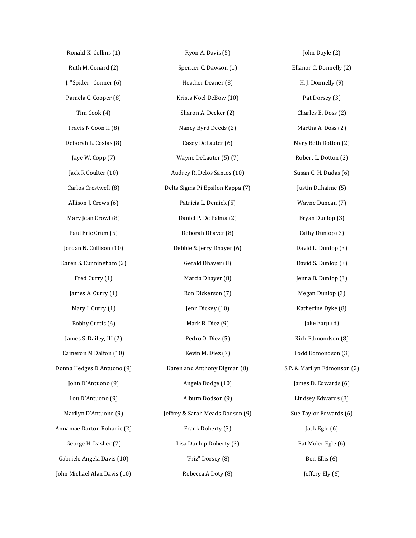| Ronald K. Collins (1)        | Ryon A. Davis (5)                | John Doyle (2)              |
|------------------------------|----------------------------------|-----------------------------|
| Ruth M. Conard (2)           | Spencer C. Dawson (1)            | Ellanor C. Donnelly (2)     |
| J. "Spider" Conner (6)       | Heather Deaner (8)               | H. J. Donnelly (9)          |
| Pamela C. Cooper (8)         | Krista Noel DeBow (10)           | Pat Dorsey (3)              |
| Tim Cook (4)                 | Sharon A. Decker (2)             | Charles E. Doss (2)         |
| Travis N Coon II (8)         | Nancy Byrd Deeds (2)             | Martha A. Doss (2)          |
| Deborah L. Costas (8)        | Casey DeLauter (6)               | Mary Beth Dotton (2)        |
| Jaye W. Copp (7)             | Wayne DeLauter (5) (7)           | Robert L. Dotton (2)        |
| Jack R Coulter (10)          | Audrey R. Delos Santos (10)      | Susan C. H. Dudas (6)       |
| Carlos Crestwell (8)         | Delta Sigma Pi Epsilon Kappa (7) | Justin Duhaime (5)          |
| Allison J. Crews (6)         | Patricia L. Demick (5)           | Wayne Duncan (7)            |
| Mary Jean Crowl (8)          | Daniel P. De Palma (2)           | Bryan Dunlop (3)            |
| Paul Eric Crum (5)           | Deborah Dhayer (8)               | Cathy Dunlop (3)            |
| Jordan N. Cullison (10)      | Debbie & Jerry Dhayer (6)        | David L. Dunlop (3)         |
| Karen S. Cunningham (2)      | Gerald Dhayer (8)                | David S. Dunlop (3)         |
| Fred Curry (1)               | Marcia Dhayer (8)                | Jenna B. Dunlop (3)         |
| James A. Curry (1)           | Ron Dickerson (7)                | Megan Dunlop (3)            |
| Mary I. Curry (1)            | Jenn Dickey (10)                 | Katherine Dyke (8)          |
| Bobby Curtis (6)             | Mark B. Diez (9)                 | Jake Earp (8)               |
| James S. Dailey, III (2)     | Pedro O. Diez (5)                | Rich Edmondson (8)          |
| Cameron M Dalton (10)        | Kevin M. Diez (7)                | Todd Edmondson (3)          |
| Donna Hedges D'Antuono (9)   | Karen and Anthony Digman (8)     | S.P. & Marilyn Edmonson (2) |
| John D'Antuono (9)           | Angela Dodge (10)                | James D. Edwards (6)        |
| Lou D'Antuono (9)            | Alburn Dodson (9)                | Lindsey Edwards (8)         |
| Marilyn D'Antuono (9)        | Jeffrey & Sarah Meads Dodson (9) | Sue Taylor Edwards (6)      |
| Annamae Darton Rohanic (2)   | Frank Doherty (3)                | Jack Egle (6)               |
| George H. Dasher (7)         | Lisa Dunlop Doherty (3)          | Pat Moler Egle (6)          |
| Gabriele Angela Davis (10)   | "Friz" Dorsey (8)                | Ben Ellis (6)               |
| John Michael Alan Davis (10) | Rebecca A Doty (8)               | Jeffery Ely (6)             |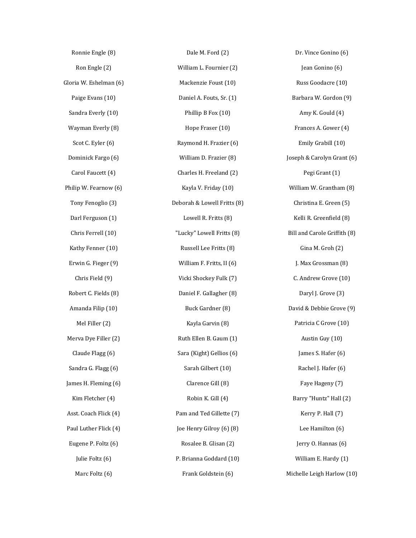| Ronnie Engle (8)       | Dale M. Ford (2)            | Dr. Vince Gonino (6)         |
|------------------------|-----------------------------|------------------------------|
| Ron Engle (2)          | William L. Fournier (2)     | Jean Gonino (6)              |
| Gloria W. Eshelman (6) | Mackenzie Foust (10)        | Russ Goodacre (10)           |
| Paige Evans (10)       | Daniel A. Fouts, Sr. (1)    | Barbara W. Gordon (9)        |
| Sandra Everly (10)     | Phillip B Fox (10)          | Amy K. Gould (4)             |
| Wayman Everly (8)      | Hope Fraser (10)            | Frances A. Gower (4)         |
| Scot C. Eyler (6)      | Raymond H. Frazier (6)      | Emily Grabill (10)           |
| Dominick Fargo (6)     | William D. Frazier (8)      | Joseph & Carolyn Grant (6)   |
| Carol Faucett (4)      | Charles H. Freeland (2)     | Pegi Grant (1)               |
| Philip W. Fearnow (6)  | Kayla V. Friday (10)        | William W. Grantham (8)      |
| Tony Fenoglio (3)      | Deborah & Lowell Fritts (8) | Christina E. Green (5)       |
| Darl Ferguson (1)      | Lowell R. Fritts (8)        | Kelli R. Greenfield (8)      |
| Chris Ferrell (10)     | "Lucky" Lowell Fritts (8)   | Bill and Carole Griffith (8) |
| Kathy Fenner (10)      | Russell Lee Fritts (8)      | Gina M. Groh (2)             |
| Erwin G. Fieger (9)    | William F. Fritts, II (6)   | J. Max Grossman (8)          |
| Chris Field (9)        | Vicki Shockey Fulk (7)      | C. Andrew Grove (10)         |
| Robert C. Fields (8)   | Daniel F. Gallagher (8)     | Daryl J. Grove (3)           |
| Amanda Filip (10)      | Buck Gardner (8)            | David & Debbie Grove (9)     |
| Mel Filler (2)         | Kayla Garvin (8)            | Patricia C Grove (10)        |
| Merva Dye Filler (2)   | Ruth Ellen B. Gaum (1)      | Austin Guy (10)              |
| Claude Flagg (6)       | Sara (Kight) Gellios (6)    | James S. Hafer (6)           |
| Sandra G. Flagg (6)    | Sarah Gilbert (10)          | Rachel J. Hafer (6)          |
| James H. Fleming (6)   | Clarence Gill (8)           | Faye Hageny (7)              |
| Kim Fletcher (4)       | Robin K. Gill (4)           | Barry "Huntz" Hall (2)       |
| Asst. Coach Flick (4)  | Pam and Ted Gillette (7)    | Kerry P. Hall (7)            |
| Paul Luther Flick (4)  | Joe Henry Gilroy (6) (8)    | Lee Hamilton (6)             |
| Eugene P. Foltz (6)    | Rosalee B. Glisan (2)       | Jerry O. Hannas (6)          |
| Julie Foltz (6)        | P. Brianna Goddard (10)     | William E. Hardy (1)         |
| Marc Foltz (6)         | Frank Goldstein (6)         | Michelle Leigh Harlow (10)   |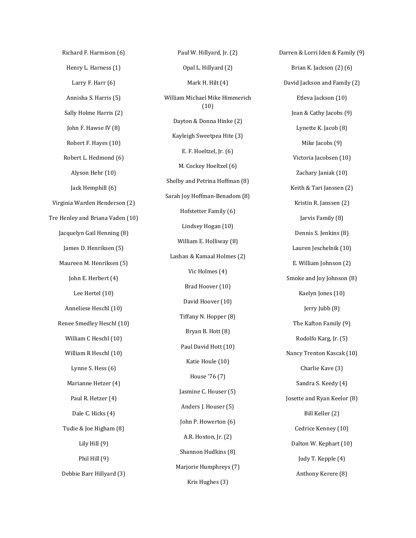Richard F. Harmison (6) Henry L. Harness (1) Larry F. Harr (6) Annisha S. Harris (5) Sally Holme Harris (2) John F. Hawse IV (8) Robert F. Hayes (10) Robert L. Hedmond (6) Alyson Hehr (10) Jack Hemphill (6) Virginia Warden Henderson (2) Tre Henley and Briana Vaden (10) Jacquelyn Gail Henning (8) James D. Henriksen (5) Maureen M. Henriksen (5) John E. Herbert (4) Lee Hertel (10) Anneliese Heschl (10) Renee Smedley Heschl (10) William C Heschl (10) William R Heschl (10) Lynne S. Hess (6) Marianne Hetzer (4) Paul R. Hetzer (4) Dale C. Hicks (4) Tudie & Joe Higham (8) Lily Hill (9) Phil Hill (9) Debbie Barr Hillyard (3)

Paul W. Hillyard, Jr. (2) Opal L. Hillyard (2) Mark H. Hilt (4) William Michael Mike Himmerich (10) Dayton & Donna Hinke (2) Kayleigh Sweetpea Hite (3) E. F. Hoeltzel, Jr. (6) M. Cockey Hoeltzel (6) Shelby and Petrina Hoffman (8) Sarah Joy Hoffman-Benadom (8) Hofstetter Family (6) Lindsey Hogan (10) William E. Holliway (8) Lashan & Kamaal Holmes (2) Vic Holmes (4) Brad Hoover (10) David Hoover (10) Tiffany N. Hopper (8) Bryan B. Hott (8) Paul David Hott (10) Katie Houle (10) House '76 (7) Jasmine C. Houser (5) Anders J. Houser (5) John P. Howerton (6) A.R. Hoxton, Jr. (2) Shannon Hudkins (8) Marjorie Humphreys (7) Kris Hughes (3)

Darren & Lorri Iden & Family (9) Brian K. Jackson (2) (6) David Jackson and Family (2) Etleva Jackson (10) Jean & Cathy Jacobs (9) Lynette K. Jacob (8) Mike Jacobs (9) Victoria Jacobsen (10) Zachary Janiak (10) Keith & Tari Janssen (2) Kristin R. Janssen (2) Jarvis Family (8) Dennis S. Jenkins (8) Lauren Jeschelnik (10) E. William Johnson (2) Smoke and Joy Johnson (8) Kaelyn Jones (10) Jerry Jubb (8) The Kafton Family (9) Rodolfo Karg, Jr. (5) Nancy Trenton Kascak (10) Charlie Kave (3) Sandra S. Keedy (4) Josette and Ryan Keelor (8) Bill Keller (2) Cedrice Kenney (10) Dalton W. Kephart (10) Judy T. Kepple (4) Anthony Kerere (8)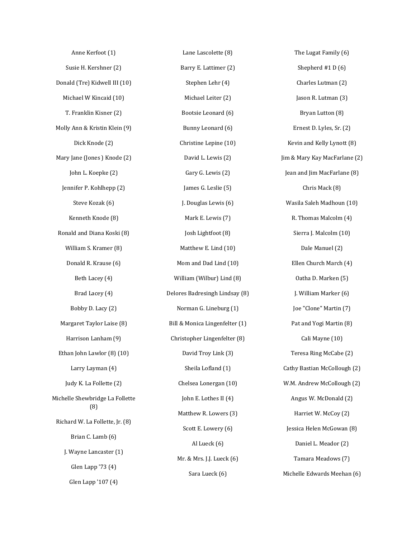| Anne Kerfoot (1)                       |
|----------------------------------------|
| Susie H. Kershner (2)                  |
| Donald (Tre) Kidwell III (10)          |
| Michael W Kincaid (10)                 |
| T. Franklin Kisner (2)                 |
| Molly Ann & Kristin Klein (9)          |
| Dick Knode (2)                         |
| Mary Jane (Jones) Knode (2)            |
| John L. Koepke (2)                     |
| Jennifer P. Kohlhepp (2)               |
| Steve Kozak (6)                        |
| Kenneth Knode (8)                      |
| Ronald and Diana Koski (8)             |
| William S. Kramer (8)                  |
| Donald R. Krause (6)                   |
| Beth Lacey (4)                         |
| Brad Lacey (4)                         |
| Bobby D. Lacy (2)                      |
| Margaret Taylor Laise (8)              |
| Harrison Lanham (9)                    |
| Ethan John Lawlor (8) (10)             |
| Larry Layman (4)                       |
| Judy K. La Follette (2)                |
| Michelle Shewbridge La Follette<br>(8) |
| Richard W. La Follette, Jr. (8)        |
| Brian C. Lamb (6)                      |
| J. Wayne Lancaster (1)                 |
| Glen Lapp '73 (4)                      |
| Glen Lapp '107 (4)                     |

Lane Lascolette (8) Barry E. Lattimer (2) Stephen Lehr (4) Michael Leiter (2) Bootsie Leonard (6) Bunny Leonard (6) Christine Lepine (10) David L. Lewis (2) Gary G. Lewis (2) James G. Leslie (5) J. Douglas Lewis (6) Mark E. Lewis (7) Josh Lightfoot (8) Matthew E. Lind (10) Mom and Dad Lind (10) William (Wilbur) Lind (8) Delores Badresingh Lindsay (8) Norman G. Lineburg (1) Bill & Monica Lingenfelter (1) Christopher Lingenfelter (8) David Troy Link (3) Sheila Lofland (1) Chelsea Lonergan (10) John E. Lothes II (4) Matthew R. Lowers (3) Scott E. Lowery (6) Al Lueck (6) Mr. & Mrs. J.J. Lueck (6) Sara Lueck (6)

The Lugat Family (6) Shepherd #1 D (6) Charles Lutman (2) Jason R. Lutman (3) Bryan Lutton (8) Ernest D. Lyles, Sr. (2) Kevin and Kelly Lynott (8) Jim & Mary Kay MacFarlane (2) Jean and Jim MacFarlane (8) Chris Mack (8) Wasila Saleh Madhoun (10) R. Thomas Malcolm (4) Sierra J. Malcolm (10) Dale Manuel (2) Ellen Church March (4) Oatha D. Marken (5) J. William Marker (6) Joe "Clone" Martin (7) Pat and Yogi Martin (8) Cali Mayne (10) Teresa Ring McCabe (2) Cathy Bastian McCollough (2) W.M. Andrew McCollough (2) Angus W. McDonald (2) Harriet W. McCoy (2) Jessica Helen McGowan (8) Daniel L. Meador (2) Tamara Meadows (7) Michelle Edwards Meehan (6)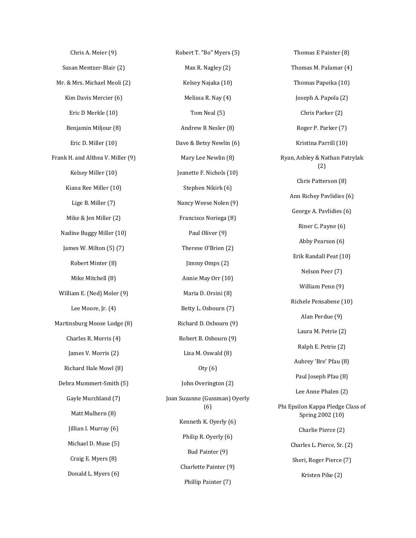Chris A. Meier (9) Susan Mentzer-Blair (2) Mr. & Mrs. Michael Meoli (2) Kim Davis Mercier (6) Eric D Merkle (10) Benjamin Miljour (8) Eric D. Miller (10) Frank H. and Althea V. Miller (9) Kelsey Miller (10) Kiana Ree Miller (10) Lige B. Miller (7) Mike & Jen Miller (2) Nadine Buggy Miller (10) James W. Milton (5) (7) Robert Minter (8) Mike Mitchell (8) William E. (Ned) Moler (9) Lee Moore, Jr. (4) Martinsburg Moose Lodge (8) Charles R. Morris (4) James V. Morris (2) Richard Hale Mowl (8) Debra Mummert-Smith (5) Gayle Murchland (7) Matt Mulhern (8) Jillian I. Murray (6) Michael D. Muse (5) Craig E. Myers (8) Donald L. Myers (6)

Robert T. "Bo" Myers (5) Max R. Nagley (2) Kelsey Najaka (10) Melissa R. Nay (4) Tom Neal (5) Andrew R Nesler (8) Dave & Betsy Newlin (6) Mary Lee Newlin (8) Jeanette F. Nichols (10) Stephen Nikirk (6) Nancy Weese Nolen (9) Francisco Noriega (8) Paul Oliver (9) Therese O'Brien (2) Jimmy Omps (2) Annie May Orr (10) Maria D. Orsini (8) Betty L. Osbourn (7) Richard D. Osbourn (9) Robert B. Osbourn (9) Lisa M. Oswald (8) Oty (6) John Overington (2) Joan Suzanne (Gussman) Oyerly (6) Kenneth K. Oyerly (6) Philip R. Oyerly (6) Bud Painter (9) Charlotte Painter (9) Phillip Painter (7)

Thomas E Painter (8) Thomas M. Palamar (4) Thomas Papeika (10) Joseph A. Papola (2) Chris Parker (2) Roger P. Parker (7) Kristina Parrill (10) Ryan, Ashley & Nathan Patrylak (2) Chris Patterson (8) Ann Richey Pavlidies (6) George A. Pavlidies (6) Riner C. Payne (6) Abby Pearson (6) Erik Randall Peat (10) Nelson Peer (7) William Penn (9) Richele Pensabene (10) Alan Perdue (9) Laura M. Petrie (2) Ralph E. Petrie (2) Aubrey 'Bre' Pfau (8) Paul Joseph Pfau (8) Lee Anne Phalen (2) Phi Epsilon Kappa Pledge Class of Spring 2002 (10) Charlie Pierce (2) Charles L. Pierce, Sr. (2) Sheri, Roger Pierce (7) Kristen Pike (2)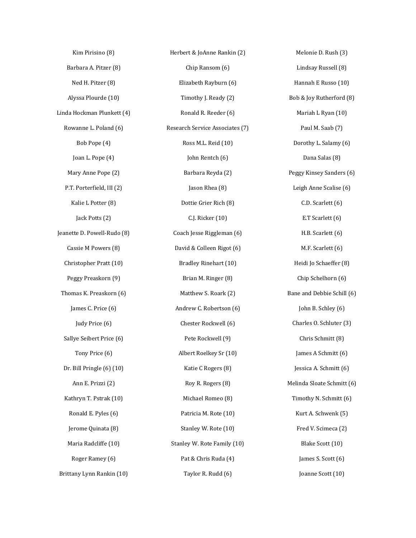Kim Pirisino (8) Barbara A. Pitzer (8) Ned H. Pitzer (8) Alyssa Plourde (10) Linda Hockman Plunkett (4) Rowanne L. Poland (6) Bob Pope (4) Joan L. Pope (4) Mary Anne Pope (2) P.T. Porterfield, III (2) Kalie L Potter (8) Jack Potts (2) Jeanette D. Powell-Rudo (8) Cassie M Powers (8) Christopher Pratt (10) Peggy Preaskorn (9) Thomas K. Preaskorn (6) James C. Price (6) Judy Price (6) Sallye Seibert Price (6) Tony Price (6) Dr. Bill Pringle (6) (10) Ann E. Prizzi (2) Kathryn T. Pstrak (10) Ronald E. Pyles (6) Jerome Quinata (8) Maria Radcliffe (10) Roger Ramey (6) Brittany Lynn Rankin (10)

Herbert & JoAnne Rankin (2) Chip Ransom (6) Elizabeth Rayburn (6) Timothy J. Ready (2) Ronald R. Reeder (6) Research Service Associates (7) Ross M.L. Reid (10) John Rentch (6) Barbara Reyda (2) Jason Rhea (8) Dottie Grier Rich (8) C.J. Ricker (10) Coach Jesse Riggleman (6) David & Colleen Rigot (6) Bradley Rinehart (10) Brian M. Ringer (8) Matthew S. Roark (2) Andrew C. Robertson (6) Chester Rockwell (6) Pete Rockwell (9) Albert Roelkey Sr (10) Katie C Rogers (8) Roy R. Rogers (8) Michael Romeo (8) Patricia M. Rote (10) Stanley W. Rote (10) Stanley W. Rote Family (10) Pat & Chris Ruda (4) Taylor R. Rudd (6) Melonie D. Rush (3)

Lindsay Russell (8) Hannah E Russo (10) Bob & Joy Rutherford (8) Mariah L Ryan (10) Paul M. Saab (7) Dorothy L. Salamy (6) Dana Salas (8) Peggy Kinsey Sanders (6) Leigh Anne Scalise (6) C.D. Scarlett (6) E.T Scarlett (6) H.B. Scarlett (6) M.F. Scarlett (6) Heidi Jo Schaeffer (8) Chip Schelhorn (6) Bane and Debbie Schill (6) John B. Schley (6) Charles O. Schluter (3) Chris Schmitt (8) James A Schmitt (6) Jessica A. Schmitt (6) Melinda Sloate Schmitt (6) Timothy N. Schmitt (6) Kurt A. Schwenk (5) Fred V. Scimeca (2) Blake Scott (10) James S. Scott (6) Joanne Scott (10)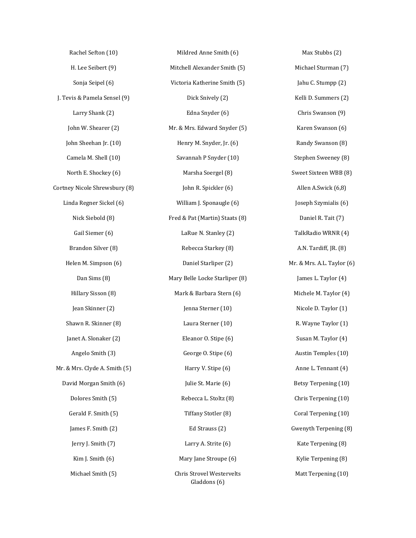| Rachel Sefton (10)            | Mildred Anne Smith (6)                           | Max Stubbs (2)             |
|-------------------------------|--------------------------------------------------|----------------------------|
| H. Lee Seibert (9)            | Mitchell Alexander Smith (5)                     | Michael Sturman (7)        |
| Sonja Seipel (6)              | Victoria Katherine Smith (5)                     | Jahu C. Stumpp (2)         |
| J. Tevis & Pamela Sensel (9)  | Dick Snively (2)                                 | Kelli D. Summers (2)       |
| Larry Shank (2)               | Edna Snyder (6)                                  | Chris Swanson (9)          |
| John W. Shearer (2)           | Mr. & Mrs. Edward Snyder (5)                     | Karen Swanson (6)          |
| John Sheehan Jr. (10)         | Henry M. Snyder, Jr. (6)                         | Randy Swanson (8)          |
| Camela M. Shell (10)          | Savannah P Snyder (10)                           | Stephen Sweeney (8)        |
| North E. Shockey (6)          | Marsha Soergel (8)                               | Sweet Sixteen WBB (8)      |
| Cortney Nicole Shrewsbury (8) | John R. Spickler (6)                             | Allen A.Swick (6,8)        |
| Linda Regner Sickel (6)       | William J. Sponaugle (6)                         | Joseph Szymialis (6)       |
| Nick Siebold (8)              | Fred & Pat (Martin) Staats (8)                   | Daniel R. Tait (7)         |
| Gail Siemer (6)               | LaRue N. Stanley (2)                             | TalkRadio WRNR (4)         |
| Brandon Silver (8)            | Rebecca Starkey (8)                              | A.N. Tardiff, JR. (8)      |
| Helen M. Simpson (6)          | Daniel Starliper (2)                             | Mr. & Mrs. A.L. Taylor (6) |
| Dan Sims (8)                  | Mary Belle Locke Starliper (8)                   | James L. Taylor (4)        |
| Hillary Sisson (8)            | Mark & Barbara Stern (6)                         | Michele M. Taylor (4)      |
| Jean Skinner (2)              | Jenna Sterner (10)                               | Nicole D. Taylor (1)       |
| Shawn R. Skinner (8)          | Laura Sterner (10)                               | R. Wayne Taylor (1)        |
| Janet A. Slonaker (2)         | Eleanor O. Stipe (6)                             | Susan M. Taylor (4)        |
| Angelo Smith (3)              | George O. Stipe (6)                              | Austin Temples (10)        |
| Mr. & Mrs. Clyde A. Smith (5) | Harry V. Stipe (6)                               | Anne L. Tennant (4)        |
| David Morgan Smith (6)        | Julie St. Marie (6)                              | Betsy Terpening (10)       |
| Dolores Smith (5)             | Rebecca L. Stoltz (8)                            | Chris Terpening (10)       |
| Gerald F. Smith (5)           | Tiffany Stotler (8)                              | Coral Terpening (10)       |
| James F. Smith (2)            | Ed Strauss (2)                                   | Gwenyth Terpening (8)      |
| Jerry J. Smith (7)            | Larry A. Strite (6)                              | Kate Terpening (8)         |
| Kim J. Smith (6)              | Mary Jane Stroupe (6)                            | Kylie Terpening (8)        |
| Michael Smith (5)             | <b>Chris Strovel Westervelts</b><br>Gladdons (6) | Matt Terpening (10)        |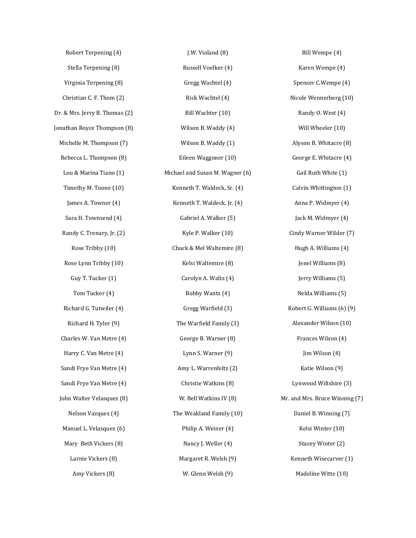| Robert Terpening (4)           | J.W. Violand (8)                | Bill Wempe (4)                 |
|--------------------------------|---------------------------------|--------------------------------|
| Stella Terpening (8)           | Russell Voelker (4)             | Karen Wempe (4)                |
| Virginia Terpening (8)         | Gregg Wachtel (4)               | Spenser C.Wempe (4)            |
| Christian C. F. Thom (2)       | Rick Wachtel (4)                | Nicole Wennerberg (10)         |
| Dr. & Mrs. Jerry B. Thomas (2) | Bill Wachter (10)               | Randy O. West (4)              |
| Jonathan Royce Thompson (8)    | Wilson B. Waddy (4)             | Will Wheeler (10)              |
| Michelle M. Thompson (7)       | Wilson B. Waddy (1)             | Alyson B. Whitacre (8)         |
| Rebecca L. Thompson (8)        | Eileen Waggoner (10)            | George E. Whitacre (4)         |
| Lou & Marina Tiano (1)         | Michael and Susan M. Wagner (6) | Gail Ruth White (1)            |
| Timothy M. Toone (10)          | Kenneth T. Waldeck, Sr. (4)     | Calvin Whittington (1)         |
| James A. Towner (4)            | Kenneth T. Waldeck, Jr. (4)     | Anna P. Widmyer (4)            |
| Sara H. Townsend (4)           | Gabriel A. Walker (5)           | Jack M. Widmyer (4)            |
| Randy C. Trenary, Jr. (2)      | Kyle P. Walker (10)             | Cindy Warner Wilder (7)        |
| Rose Tribby (10)               | Chuck & Mel Waltemire (8)       | Hugh A. Williams (4)           |
| Rose Lynn Tribby (10)          | Kelsi Waltemire (8)             | Jenel Williams (8)             |
| Guy T. Tucker (1)              | Carolyn A. Waltz (4)            | Jerry Williams (5)             |
| Tom Tucker (4)                 | Bobby Wantz (4)                 | Nelda Williams (5)             |
| Richard G. Tutwiler (4)        | Gregg Warfield (3)              | Robert G. Williams (6) (9)     |
| Richard H. Tyler (9)           | The Warfield Family (3)         | Alexander Wilson (10)          |
| Charles W. Van Metre (4)       | George B. Warner (8)            | Frances Wilson (4)             |
| Harry C. Van Metre (4)         | Lynn S. Warner (9)              | Jim Wilson (4)                 |
| Sandi Frye Van Metre (4)       | Amy L. Warrenfeltz (2)          | Katie Wilson (9)               |
| Sandi Frye Van Metre (4)       | Christie Watkins (8)            | Lynwood Wiltshire (3)          |
| John Walter Velasquez (8)      | W. Bell Watkins IV (8)          | Mr. and Mrs. Bruce Winning (7) |
| Nelson Vazquez (4)             | The Weakland Family (10)        | Daniel B. Winning (7)          |
| Manuel L. Velasquez (6)        | Philip A. Weiner (4)            | Kelsi Winter (10)              |
| Mary Beth Vickers (8)          | Nancy J. Weller (4)             | Stacey Winter (2)              |
| Larnie Vickers (8)             | Margaret R. Welsh (9)           | Kenneth Wisecarver (1)         |
| Amy Vickers (8)                | W. Glenn Welsh (9)              | Madeline Witte (10)            |